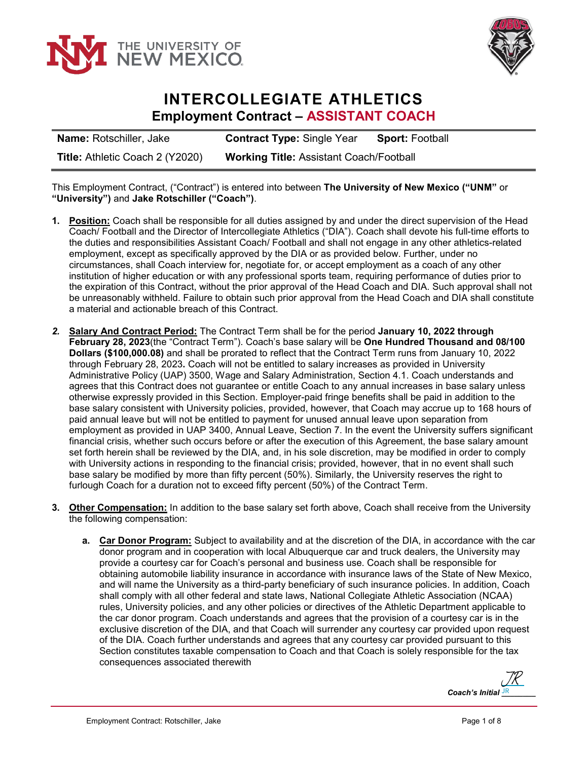



## **INTERCOLLEGIATE ATHLETICS Employment Contract – ASSISTANT COACH**

**Name:** Rotschiller, Jake **Contract Type:** Single Year **Sport:** Football **Title:** Athletic Coach 2 (Y2020) **Working Title:** Assistant Coach/Football

This Employment Contract, ("Contract") is entered into between **The University of New Mexico ("UNM"** or **"University")** and **Jake Rotschiller ("Coach")**.

- **1. Position:** Coach shall be responsible for all duties assigned by and under the direct supervision of the Head Coach/ Football and the Director of Intercollegiate Athletics ("DIA"). Coach shall devote his full-time efforts to the duties and responsibilities Assistant Coach/ Football and shall not engage in any other athletics-related employment, except as specifically approved by the DIA or as provided below. Further, under no circumstances, shall Coach interview for, negotiate for, or accept employment as a coach of any other institution of higher education or with any professional sports team, requiring performance of duties prior to the expiration of this Contract, without the prior approval of the Head Coach and DIA. Such approval shall not be unreasonably withheld. Failure to obtain such prior approval from the Head Coach and DIA shall constitute a material and actionable breach of this Contract.
- *2.* **Salary And Contract Period:** The Contract Term shall be for the period **January 10, 2022 through February 28, 2023**(the "Contract Term"). Coach's base salary will be **One Hundred Thousand and 08/100 Dollars (\$100,000.08)** and shall be prorated to reflect that the Contract Term runs from January 10, 2022 through February 28, 2023**.** Coach will not be entitled to salary increases as provided in University Administrative Policy (UAP) 3500, Wage and Salary Administration, Section 4.1. Coach understands and agrees that this Contract does not guarantee or entitle Coach to any annual increases in base salary unless otherwise expressly provided in this Section. Employer-paid fringe benefits shall be paid in addition to the base salary consistent with University policies, provided, however, that Coach may accrue up to 168 hours of paid annual leave but will not be entitled to payment for unused annual leave upon separation from employment as provided in UAP 3400, Annual Leave, Section 7. In the event the University suffers significant financial crisis, whether such occurs before or after the execution of this Agreement, the base salary amount set forth herein shall be reviewed by the DIA, and, in his sole discretion, may be modified in order to comply with University actions in responding to the financial crisis; provided, however, that in no event shall such base salary be modified by more than fifty percent (50%). Similarly, the University reserves the right to furlough Coach for a duration not to exceed fifty percent (50%) of the Contract Term.
- **3. Other Compensation:** In addition to the base salary set forth above, Coach shall receive from the University the following compensation:
	- **a. Car Donor Program:** Subject to availability and at the discretion of the DIA, in accordance with the car donor program and in cooperation with local Albuquerque car and truck dealers, the University may provide a courtesy car for Coach's personal and business use. Coach shall be responsible for obtaining automobile liability insurance in accordance with insurance laws of the State of New Mexico, and will name the University as a third-party beneficiary of such insurance policies. In addition, Coach shall comply with all other federal and state laws, National Collegiate Athletic Association (NCAA) rules, University policies, and any other policies or directives of the Athletic Department applicable to the car donor program. Coach understands and agrees that the provision of a courtesy car is in the exclusive discretion of the DIA, and that Coach will surrender any courtesy car provided upon request of the DIA. Coach further understands and agrees that any courtesy car provided pursuant to this Section constitutes taxable compensation to Coach and that Coach is solely responsible for the tax consequences associated therewith

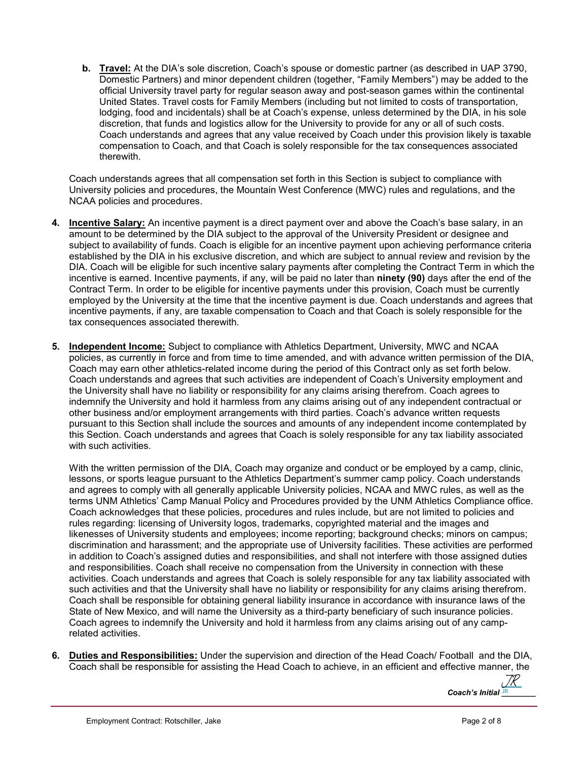**b. Travel:** At the DIA's sole discretion, Coach's spouse or domestic partner (as described in UAP 3790, Domestic Partners) and minor dependent children (together, "Family Members") may be added to the official University travel party for regular season away and post-season games within the continental United States. Travel costs for Family Members (including but not limited to costs of transportation, lodging, food and incidentals) shall be at Coach's expense, unless determined by the DIA, in his sole discretion, that funds and logistics allow for the University to provide for any or all of such costs. Coach understands and agrees that any value received by Coach under this provision likely is taxable compensation to Coach, and that Coach is solely responsible for the tax consequences associated therewith.

Coach understands agrees that all compensation set forth in this Section is subject to compliance with University policies and procedures, the Mountain West Conference (MWC) rules and regulations, and the NCAA policies and procedures.

- **4. Incentive Salary:** An incentive payment is a direct payment over and above the Coach's base salary, in an amount to be determined by the DIA subject to the approval of the University President or designee and subject to availability of funds. Coach is eligible for an incentive payment upon achieving performance criteria established by the DIA in his exclusive discretion, and which are subject to annual review and revision by the DIA. Coach will be eligible for such incentive salary payments after completing the Contract Term in which the incentive is earned. Incentive payments, if any, will be paid no later than **ninety (90)** days after the end of the Contract Term. In order to be eligible for incentive payments under this provision, Coach must be currently employed by the University at the time that the incentive payment is due. Coach understands and agrees that incentive payments, if any, are taxable compensation to Coach and that Coach is solely responsible for the tax consequences associated therewith.
- **5. Independent Income:** Subject to compliance with Athletics Department, University, MWC and NCAA policies, as currently in force and from time to time amended, and with advance written permission of the DIA, Coach may earn other athletics-related income during the period of this Contract only as set forth below. Coach understands and agrees that such activities are independent of Coach's University employment and the University shall have no liability or responsibility for any claims arising therefrom. Coach agrees to indemnify the University and hold it harmless from any claims arising out of any independent contractual or other business and/or employment arrangements with third parties. Coach's advance written requests pursuant to this Section shall include the sources and amounts of any independent income contemplated by this Section. Coach understands and agrees that Coach is solely responsible for any tax liability associated with such activities.

With the written permission of the DIA, Coach may organize and conduct or be employed by a camp, clinic, lessons, or sports league pursuant to the Athletics Department's summer camp policy. Coach understands and agrees to comply with all generally applicable University policies, NCAA and MWC rules, as well as the terms UNM Athletics' Camp Manual Policy and Procedures provided by the UNM Athletics Compliance office. Coach acknowledges that these policies, procedures and rules include, but are not limited to policies and rules regarding: licensing of University logos, trademarks, copyrighted material and the images and likenesses of University students and employees; income reporting; background checks; minors on campus; discrimination and harassment; and the appropriate use of University facilities. These activities are performed in addition to Coach's assigned duties and responsibilities, and shall not interfere with those assigned duties and responsibilities. Coach shall receive no compensation from the University in connection with these activities. Coach understands and agrees that Coach is solely responsible for any tax liability associated with such activities and that the University shall have no liability or responsibility for any claims arising therefrom. Coach shall be responsible for obtaining general liability insurance in accordance with insurance laws of the State of New Mexico, and will name the University as a third-party beneficiary of such insurance policies. Coach agrees to indemnify the University and hold it harmless from any claims arising out of any camprelated activities.

**6. Duties and Responsibilities:** Under the supervision and direction of the Head Coach/ Football and the DIA, Coach shall be responsible for assisting the Head Coach to achieve, in an efficient and effective manner, the

Coach's Initial **JR** [JR](https://adobefreeuserschannel.na2.documents.adobe.com/verifier?tx=CBJCHBCAABAAgABlfe3BOGrFYjJqw_Iw8V36FXpxbBVz)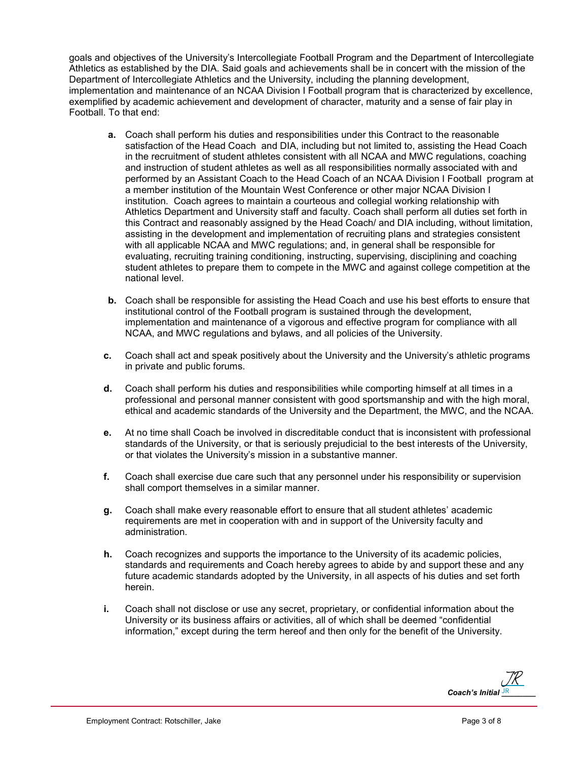goals and objectives of the University's Intercollegiate Football Program and the Department of Intercollegiate Athletics as established by the DIA. Said goals and achievements shall be in concert with the mission of the Department of Intercollegiate Athletics and the University, including the planning development, implementation and maintenance of an NCAA Division I Football program that is characterized by excellence, exemplified by academic achievement and development of character, maturity and a sense of fair play in Football. To that end:

- **a.** Coach shall perform his duties and responsibilities under this Contract to the reasonable satisfaction of the Head Coach and DIA, including but not limited to, assisting the Head Coach in the recruitment of student athletes consistent with all NCAA and MWC regulations, coaching and instruction of student athletes as well as all responsibilities normally associated with and performed by an Assistant Coach to the Head Coach of an NCAA Division I Football program at a member institution of the Mountain West Conference or other major NCAA Division I institution. Coach agrees to maintain a courteous and collegial working relationship with Athletics Department and University staff and faculty. Coach shall perform all duties set forth in this Contract and reasonably assigned by the Head Coach/ and DIA including, without limitation, assisting in the development and implementation of recruiting plans and strategies consistent with all applicable NCAA and MWC regulations; and, in general shall be responsible for evaluating, recruiting training conditioning, instructing, supervising, disciplining and coaching student athletes to prepare them to compete in the MWC and against college competition at the national level.
- **b.** Coach shall be responsible for assisting the Head Coach and use his best efforts to ensure that institutional control of the Football program is sustained through the development, implementation and maintenance of a vigorous and effective program for compliance with all NCAA, and MWC regulations and bylaws, and all policies of the University.
- **c.** Coach shall act and speak positively about the University and the University's athletic programs in private and public forums.
- **d.** Coach shall perform his duties and responsibilities while comporting himself at all times in a professional and personal manner consistent with good sportsmanship and with the high moral, ethical and academic standards of the University and the Department, the MWC, and the NCAA.
- **e.** At no time shall Coach be involved in discreditable conduct that is inconsistent with professional standards of the University, or that is seriously prejudicial to the best interests of the University, or that violates the University's mission in a substantive manner.
- **f.** Coach shall exercise due care such that any personnel under his responsibility or supervision shall comport themselves in a similar manner.
- **g.** Coach shall make every reasonable effort to ensure that all student athletes' academic requirements are met in cooperation with and in support of the University faculty and administration.
- **h.** Coach recognizes and supports the importance to the University of its academic policies, standards and requirements and Coach hereby agrees to abide by and support these and any future academic standards adopted by the University, in all aspects of his duties and set forth herein.
- **i.** Coach shall not disclose or use any secret, proprietary, or confidential information about the University or its business affairs or activities, all of which shall be deemed "confidential information," except during the term hereof and then only for the benefit of the University.

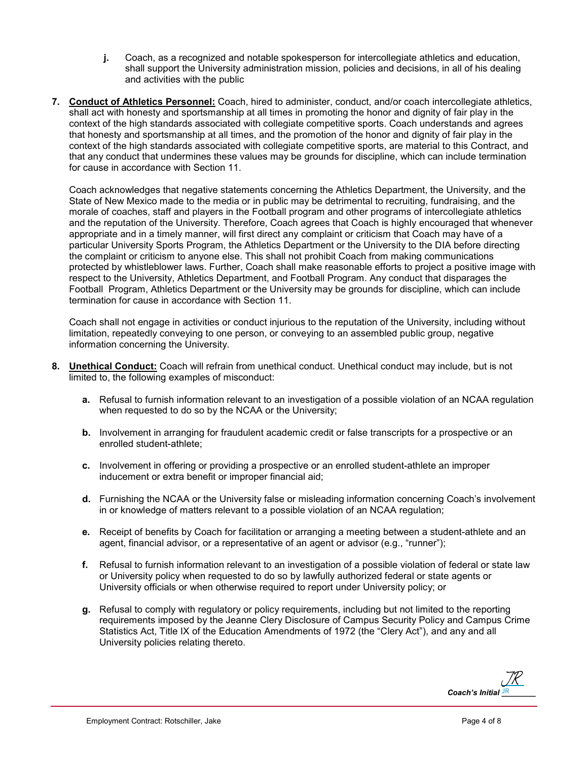- **j.** Coach, as a recognized and notable spokesperson for intercollegiate athletics and education, shall support the University administration mission, policies and decisions, in all of his dealing and activities with the public
- **7. Conduct of Athletics Personnel:** Coach, hired to administer, conduct, and/or coach intercollegiate athletics, shall act with honesty and sportsmanship at all times in promoting the honor and dignity of fair play in the context of the high standards associated with collegiate competitive sports. Coach understands and agrees that honesty and sportsmanship at all times, and the promotion of the honor and dignity of fair play in the context of the high standards associated with collegiate competitive sports, are material to this Contract, and that any conduct that undermines these values may be grounds for discipline, which can include termination for cause in accordance with Section 11.

Coach acknowledges that negative statements concerning the Athletics Department, the University, and the State of New Mexico made to the media or in public may be detrimental to recruiting, fundraising, and the morale of coaches, staff and players in the Football program and other programs of intercollegiate athletics and the reputation of the University. Therefore, Coach agrees that Coach is highly encouraged that whenever appropriate and in a timely manner, will first direct any complaint or criticism that Coach may have of a particular University Sports Program, the Athletics Department or the University to the DIA before directing the complaint or criticism to anyone else. This shall not prohibit Coach from making communications protected by whistleblower laws. Further, Coach shall make reasonable efforts to project a positive image with respect to the University, Athletics Department, and Football Program. Any conduct that disparages the Football Program, Athletics Department or the University may be grounds for discipline, which can include termination for cause in accordance with Section 11.

Coach shall not engage in activities or conduct injurious to the reputation of the University, including without limitation, repeatedly conveying to one person, or conveying to an assembled public group, negative information concerning the University.

- **8. Unethical Conduct:** Coach will refrain from unethical conduct. Unethical conduct may include, but is not limited to, the following examples of misconduct:
	- **a.** Refusal to furnish information relevant to an investigation of a possible violation of an NCAA regulation when requested to do so by the NCAA or the University;
	- **b.** Involvement in arranging for fraudulent academic credit or false transcripts for a prospective or an enrolled student-athlete;
	- **c.** Involvement in offering or providing a prospective or an enrolled student-athlete an improper inducement or extra benefit or improper financial aid;
	- **d.** Furnishing the NCAA or the University false or misleading information concerning Coach's involvement in or knowledge of matters relevant to a possible violation of an NCAA regulation;
	- **e.** Receipt of benefits by Coach for facilitation or arranging a meeting between a student-athlete and an agent, financial advisor, or a representative of an agent or advisor (e.g., "runner");
	- **f.** Refusal to furnish information relevant to an investigation of a possible violation of federal or state law or University policy when requested to do so by lawfully authorized federal or state agents or University officials or when otherwise required to report under University policy; or
	- **g.** Refusal to comply with regulatory or policy requirements, including but not limited to the reporting requirements imposed by the Jeanne Clery Disclosure of Campus Security Policy and Campus Crime Statistics Act, Title IX of the Education Amendments of 1972 (the "Clery Act"), and any and all University policies relating thereto.

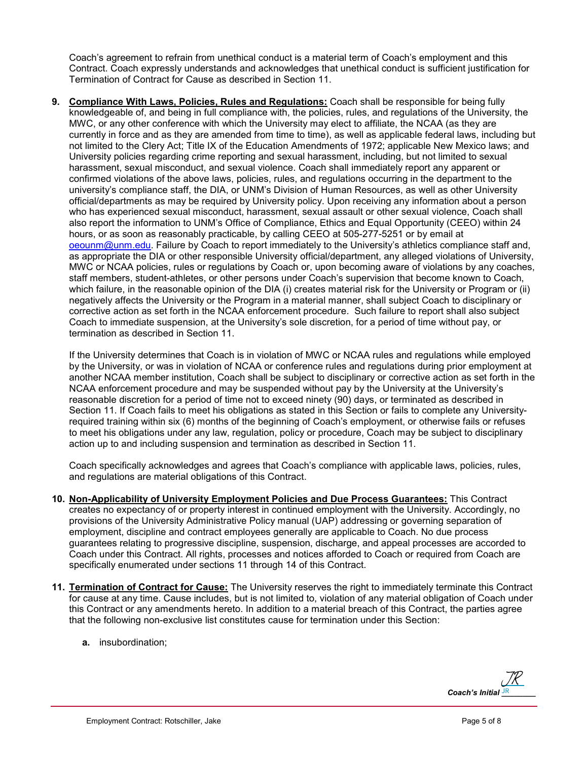Coach's agreement to refrain from unethical conduct is a material term of Coach's employment and this Contract. Coach expressly understands and acknowledges that unethical conduct is sufficient justification for Termination of Contract for Cause as described in Section 11.

**9. Compliance With Laws, Policies, Rules and Regulations:** Coach shall be responsible for being fully knowledgeable of, and being in full compliance with, the policies, rules, and regulations of the University, the MWC, or any other conference with which the University may elect to affiliate, the NCAA (as they are currently in force and as they are amended from time to time), as well as applicable federal laws, including but not limited to the Clery Act; Title IX of the Education Amendments of 1972; applicable New Mexico laws; and University policies regarding crime reporting and sexual harassment, including, but not limited to sexual harassment, sexual misconduct, and sexual violence. Coach shall immediately report any apparent or confirmed violations of the above laws, policies, rules, and regulations occurring in the department to the university's compliance staff, the DIA, or UNM's Division of Human Resources, as well as other University official/departments as may be required by University policy. Upon receiving any information about a person who has experienced sexual misconduct, harassment, sexual assault or other sexual violence, Coach shall also report the information to UNM's Office of Compliance, Ethics and Equal Opportunity (CEEO) within 24 hours, or as soon as reasonably practicable, by calling CEEO at 505-277-5251 or by email at [oeounm@unm.edu.](mailto:oeounm@unm.edu) Failure by Coach to report immediately to the University's athletics compliance staff and, as appropriate the DIA or other responsible University official/department, any alleged violations of University, MWC or NCAA policies, rules or regulations by Coach or, upon becoming aware of violations by any coaches, staff members, student-athletes, or other persons under Coach's supervision that become known to Coach, which failure, in the reasonable opinion of the DIA (i) creates material risk for the University or Program or (ii) negatively affects the University or the Program in a material manner, shall subject Coach to disciplinary or corrective action as set forth in the NCAA enforcement procedure. Such failure to report shall also subject Coach to immediate suspension, at the University's sole discretion, for a period of time without pay, or termination as described in Section 11.

If the University determines that Coach is in violation of MWC or NCAA rules and regulations while employed by the University, or was in violation of NCAA or conference rules and regulations during prior employment at another NCAA member institution, Coach shall be subject to disciplinary or corrective action as set forth in the NCAA enforcement procedure and may be suspended without pay by the University at the University's reasonable discretion for a period of time not to exceed ninety (90) days, or terminated as described in Section 11. If Coach fails to meet his obligations as stated in this Section or fails to complete any Universityrequired training within six (6) months of the beginning of Coach's employment, or otherwise fails or refuses to meet his obligations under any law, regulation, policy or procedure, Coach may be subject to disciplinary action up to and including suspension and termination as described in Section 11.

Coach specifically acknowledges and agrees that Coach's compliance with applicable laws, policies, rules, and regulations are material obligations of this Contract.

- **10. Non-Applicability of University Employment Policies and Due Process Guarantees:** This Contract creates no expectancy of or property interest in continued employment with the University. Accordingly, no provisions of the University Administrative Policy manual (UAP) addressing or governing separation of employment, discipline and contract employees generally are applicable to Coach. No due process guarantees relating to progressive discipline, suspension, discharge, and appeal processes are accorded to Coach under this Contract. All rights, processes and notices afforded to Coach or required from Coach are specifically enumerated under sections 11 through 14 of this Contract.
- **11. Termination of Contract for Cause:** The University reserves the right to immediately terminate this Contract for cause at any time. Cause includes, but is not limited to, violation of any material obligation of Coach under this Contract or any amendments hereto. In addition to a material breach of this Contract, the parties agree that the following non-exclusive list constitutes cause for termination under this Section:
	- **a.** insubordination;

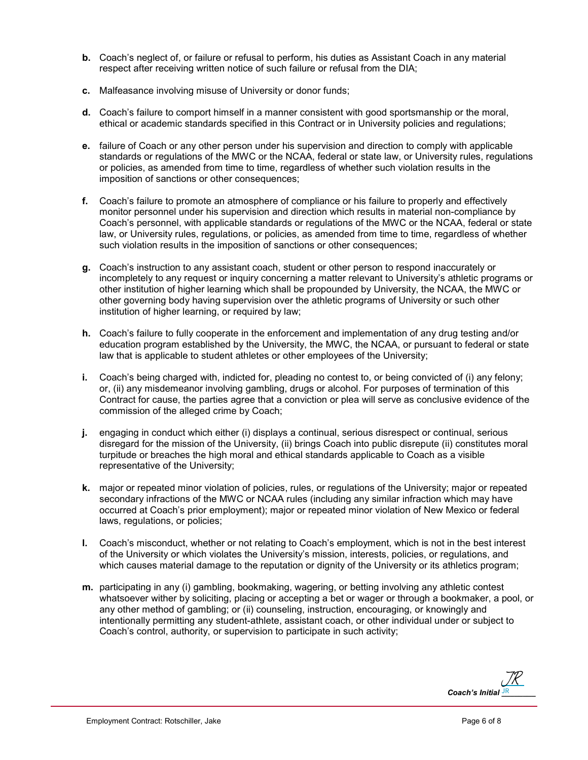- **b.** Coach's neglect of, or failure or refusal to perform, his duties as Assistant Coach in any material respect after receiving written notice of such failure or refusal from the DIA;
- **c.** Malfeasance involving misuse of University or donor funds;
- **d.** Coach's failure to comport himself in a manner consistent with good sportsmanship or the moral, ethical or academic standards specified in this Contract or in University policies and regulations;
- **e.** failure of Coach or any other person under his supervision and direction to comply with applicable standards or regulations of the MWC or the NCAA, federal or state law, or University rules, regulations or policies, as amended from time to time, regardless of whether such violation results in the imposition of sanctions or other consequences;
- **f.** Coach's failure to promote an atmosphere of compliance or his failure to properly and effectively monitor personnel under his supervision and direction which results in material non-compliance by Coach's personnel, with applicable standards or regulations of the MWC or the NCAA, federal or state law, or University rules, regulations, or policies, as amended from time to time, regardless of whether such violation results in the imposition of sanctions or other consequences;
- **g.** Coach's instruction to any assistant coach, student or other person to respond inaccurately or incompletely to any request or inquiry concerning a matter relevant to University's athletic programs or other institution of higher learning which shall be propounded by University, the NCAA, the MWC or other governing body having supervision over the athletic programs of University or such other institution of higher learning, or required by law;
- **h.** Coach's failure to fully cooperate in the enforcement and implementation of any drug testing and/or education program established by the University, the MWC, the NCAA, or pursuant to federal or state law that is applicable to student athletes or other employees of the University;
- **i.** Coach's being charged with, indicted for, pleading no contest to, or being convicted of (i) any felony; or, (ii) any misdemeanor involving gambling, drugs or alcohol. For purposes of termination of this Contract for cause, the parties agree that a conviction or plea will serve as conclusive evidence of the commission of the alleged crime by Coach;
- **j.** engaging in conduct which either (i) displays a continual, serious disrespect or continual, serious disregard for the mission of the University, (ii) brings Coach into public disrepute (ii) constitutes moral turpitude or breaches the high moral and ethical standards applicable to Coach as a visible representative of the University;
- **k.** major or repeated minor violation of policies, rules, or regulations of the University; major or repeated secondary infractions of the MWC or NCAA rules (including any similar infraction which may have occurred at Coach's prior employment); major or repeated minor violation of New Mexico or federal laws, regulations, or policies;
- **l.** Coach's misconduct, whether or not relating to Coach's employment, which is not in the best interest of the University or which violates the University's mission, interests, policies, or regulations, and which causes material damage to the reputation or dignity of the University or its athletics program;
- **m.** participating in any (i) gambling, bookmaking, wagering, or betting involving any athletic contest whatsoever wither by soliciting, placing or accepting a bet or wager or through a bookmaker, a pool, or any other method of gambling; or (ii) counseling, instruction, encouraging, or knowingly and intentionally permitting any student-athlete, assistant coach, or other individual under or subject to Coach's control, authority, or supervision to participate in such activity;

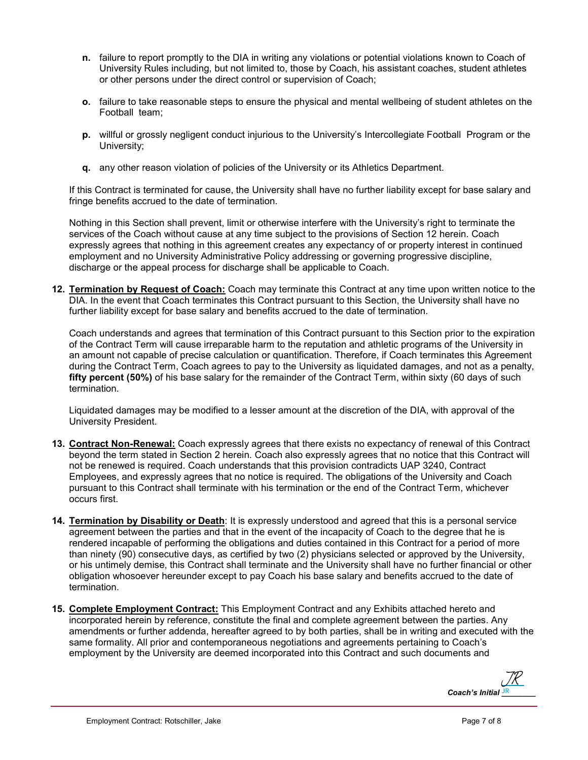- **n.** failure to report promptly to the DIA in writing any violations or potential violations known to Coach of University Rules including, but not limited to, those by Coach, his assistant coaches, student athletes or other persons under the direct control or supervision of Coach;
- **o.** failure to take reasonable steps to ensure the physical and mental wellbeing of student athletes on the Football team;
- **p.** willful or grossly negligent conduct injurious to the University's Intercollegiate Football Program or the University;
- **q.** any other reason violation of policies of the University or its Athletics Department.

If this Contract is terminated for cause, the University shall have no further liability except for base salary and fringe benefits accrued to the date of termination.

Nothing in this Section shall prevent, limit or otherwise interfere with the University's right to terminate the services of the Coach without cause at any time subject to the provisions of Section 12 herein. Coach expressly agrees that nothing in this agreement creates any expectancy of or property interest in continued employment and no University Administrative Policy addressing or governing progressive discipline, discharge or the appeal process for discharge shall be applicable to Coach.

**12. Termination by Request of Coach:** Coach may terminate this Contract at any time upon written notice to the DIA. In the event that Coach terminates this Contract pursuant to this Section, the University shall have no further liability except for base salary and benefits accrued to the date of termination.

Coach understands and agrees that termination of this Contract pursuant to this Section prior to the expiration of the Contract Term will cause irreparable harm to the reputation and athletic programs of the University in an amount not capable of precise calculation or quantification. Therefore, if Coach terminates this Agreement during the Contract Term, Coach agrees to pay to the University as liquidated damages, and not as a penalty, **fifty percent (50%)** of his base salary for the remainder of the Contract Term, within sixty (60 days of such termination.

Liquidated damages may be modified to a lesser amount at the discretion of the DIA, with approval of the University President.

- **13. Contract Non-Renewal:** Coach expressly agrees that there exists no expectancy of renewal of this Contract beyond the term stated in Section 2 herein. Coach also expressly agrees that no notice that this Contract will not be renewed is required. Coach understands that this provision contradicts UAP 3240, Contract Employees, and expressly agrees that no notice is required. The obligations of the University and Coach pursuant to this Contract shall terminate with his termination or the end of the Contract Term, whichever occurs first.
- **14. Termination by Disability or Death**: It is expressly understood and agreed that this is a personal service agreement between the parties and that in the event of the incapacity of Coach to the degree that he is rendered incapable of performing the obligations and duties contained in this Contract for a period of more than ninety (90) consecutive days, as certified by two (2) physicians selected or approved by the University, or his untimely demise, this Contract shall terminate and the University shall have no further financial or other obligation whosoever hereunder except to pay Coach his base salary and benefits accrued to the date of termination.
- **15. Complete Employment Contract:** This Employment Contract and any Exhibits attached hereto and incorporated herein by reference, constitute the final and complete agreement between the parties. Any amendments or further addenda, hereafter agreed to by both parties, shall be in writing and executed with the same formality. All prior and contemporaneous negotiations and agreements pertaining to Coach's employment by the University are deemed incorporated into this Contract and such documents and